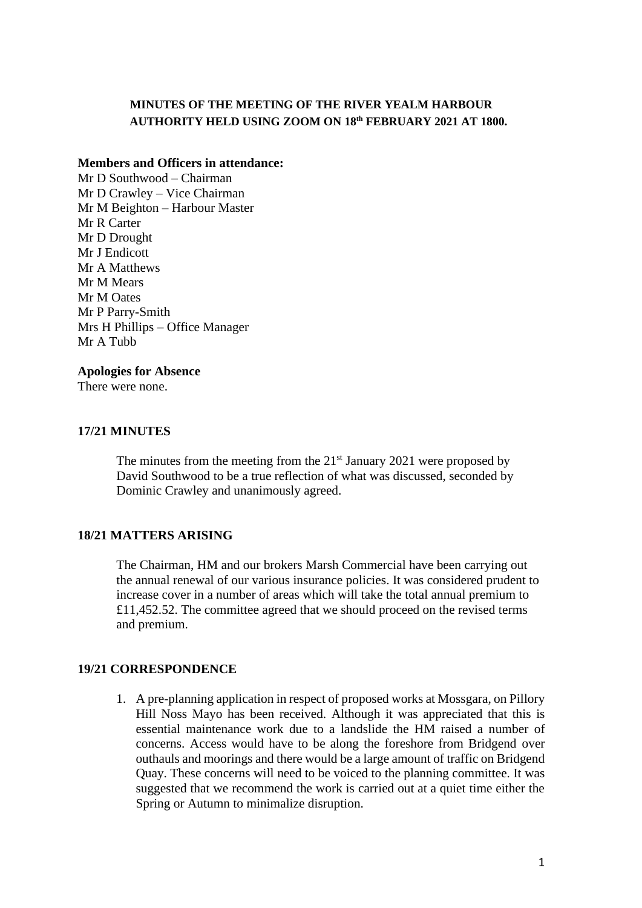### **MINUTES OF THE MEETING OF THE RIVER YEALM HARBOUR AUTHORITY HELD USING ZOOM ON 18th FEBRUARY 2021 AT 1800.**

#### **Members and Officers in attendance:**

Mr D Southwood – Chairman Mr D Crawley – Vice Chairman Mr M Beighton – Harbour Master Mr R Carter Mr D Drought Mr J Endicott Mr A Matthews Mr M Mears Mr M Oates Mr P Parry-Smith Mrs H Phillips – Office Manager Mr A Tubb

#### **Apologies for Absence**

There were none.

### **17/21 MINUTES**

The minutes from the meeting from the  $21<sup>st</sup>$  January 2021 were proposed by David Southwood to be a true reflection of what was discussed, seconded by Dominic Crawley and unanimously agreed.

### **18/21 MATTERS ARISING**

The Chairman, HM and our brokers Marsh Commercial have been carrying out the annual renewal of our various insurance policies. It was considered prudent to increase cover in a number of areas which will take the total annual premium to £11,452.52. The committee agreed that we should proceed on the revised terms and premium.

### **19/21 CORRESPONDENCE**

1. A pre-planning application in respect of proposed works at Mossgara, on Pillory Hill Noss Mayo has been received. Although it was appreciated that this is essential maintenance work due to a landslide the HM raised a number of concerns. Access would have to be along the foreshore from Bridgend over outhauls and moorings and there would be a large amount of traffic on Bridgend Quay. These concerns will need to be voiced to the planning committee. It was suggested that we recommend the work is carried out at a quiet time either the Spring or Autumn to minimalize disruption.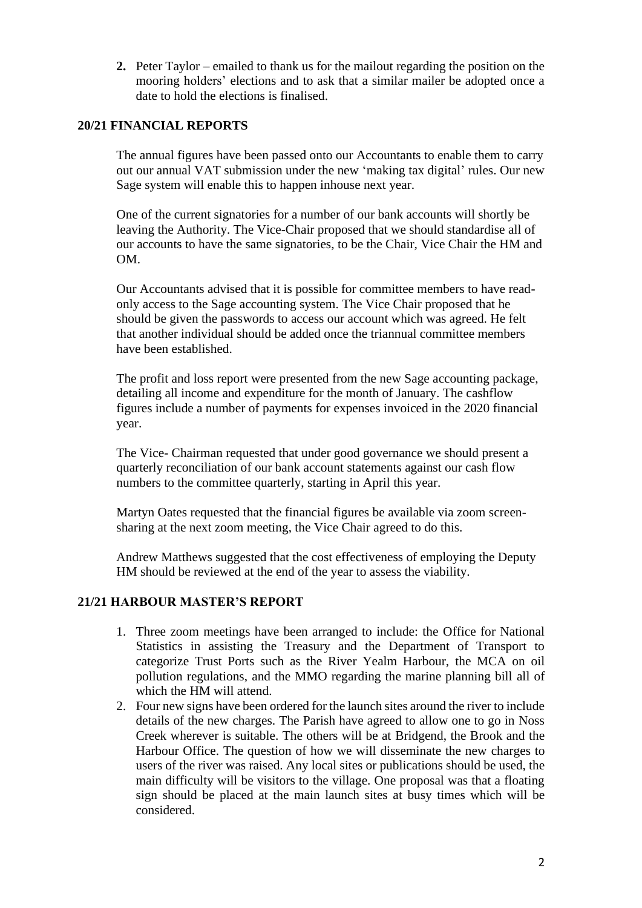**2.** Peter Taylor – emailed to thank us for the mailout regarding the position on the mooring holders' elections and to ask that a similar mailer be adopted once a date to hold the elections is finalised.

## **20/21 FINANCIAL REPORTS**

The annual figures have been passed onto our Accountants to enable them to carry out our annual VAT submission under the new 'making tax digital' rules. Our new Sage system will enable this to happen inhouse next year.

One of the current signatories for a number of our bank accounts will shortly be leaving the Authority. The Vice-Chair proposed that we should standardise all of our accounts to have the same signatories, to be the Chair, Vice Chair the HM and OM.

Our Accountants advised that it is possible for committee members to have readonly access to the Sage accounting system. The Vice Chair proposed that he should be given the passwords to access our account which was agreed. He felt that another individual should be added once the triannual committee members have been established.

The profit and loss report were presented from the new Sage accounting package, detailing all income and expenditure for the month of January. The cashflow figures include a number of payments for expenses invoiced in the 2020 financial year.

The Vice- Chairman requested that under good governance we should present a quarterly reconciliation of our bank account statements against our cash flow numbers to the committee quarterly, starting in April this year.

Martyn Oates requested that the financial figures be available via zoom screensharing at the next zoom meeting, the Vice Chair agreed to do this.

Andrew Matthews suggested that the cost effectiveness of employing the Deputy HM should be reviewed at the end of the year to assess the viability.

### **21/21 HARBOUR MASTER'S REPORT**

- 1. Three zoom meetings have been arranged to include: the Office for National Statistics in assisting the Treasury and the Department of Transport to categorize Trust Ports such as the River Yealm Harbour, the MCA on oil pollution regulations, and the MMO regarding the marine planning bill all of which the HM will attend.
- 2. Four new signs have been ordered for the launch sites around the river to include details of the new charges. The Parish have agreed to allow one to go in Noss Creek wherever is suitable. The others will be at Bridgend, the Brook and the Harbour Office. The question of how we will disseminate the new charges to users of the river was raised. Any local sites or publications should be used, the main difficulty will be visitors to the village. One proposal was that a floating sign should be placed at the main launch sites at busy times which will be considered.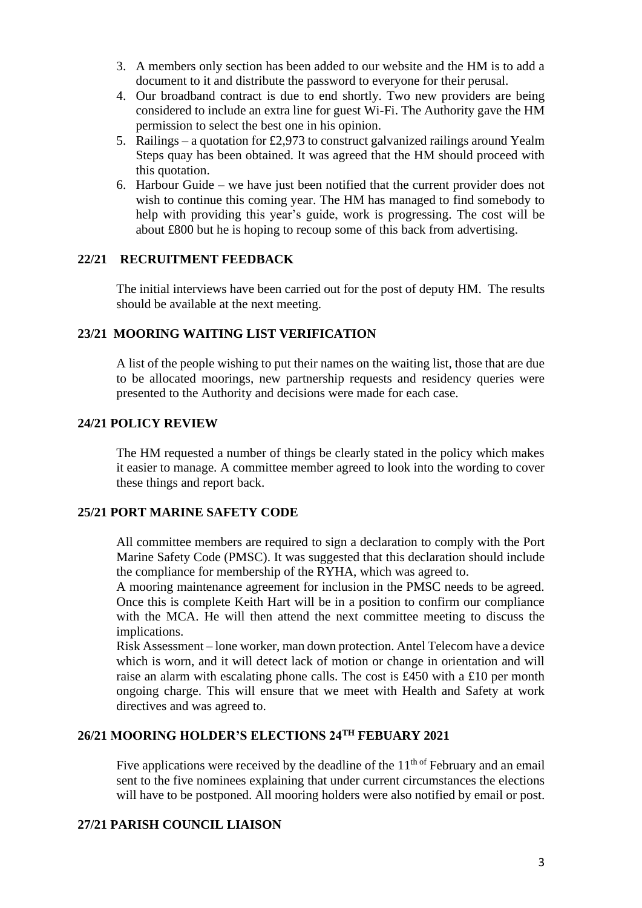- 3. A members only section has been added to our website and the HM is to add a document to it and distribute the password to everyone for their perusal.
- 4. Our broadband contract is due to end shortly. Two new providers are being considered to include an extra line for guest Wi-Fi. The Authority gave the HM permission to select the best one in his opinion.
- 5. Railings a quotation for £2,973 to construct galvanized railings around Yealm Steps quay has been obtained. It was agreed that the HM should proceed with this quotation.
- 6. Harbour Guide we have just been notified that the current provider does not wish to continue this coming year. The HM has managed to find somebody to help with providing this year's guide, work is progressing. The cost will be about £800 but he is hoping to recoup some of this back from advertising.

### **22/21 RECRUITMENT FEEDBACK**

The initial interviews have been carried out for the post of deputy HM. The results should be available at the next meeting.

## **23/21 MOORING WAITING LIST VERIFICATION**

A list of the people wishing to put their names on the waiting list, those that are due to be allocated moorings, new partnership requests and residency queries were presented to the Authority and decisions were made for each case.

# **24/21 POLICY REVIEW**

The HM requested a number of things be clearly stated in the policy which makes it easier to manage. A committee member agreed to look into the wording to cover these things and report back.

### **25/21 PORT MARINE SAFETY CODE**

All committee members are required to sign a declaration to comply with the Port Marine Safety Code (PMSC). It was suggested that this declaration should include the compliance for membership of the RYHA, which was agreed to.

A mooring maintenance agreement for inclusion in the PMSC needs to be agreed. Once this is complete Keith Hart will be in a position to confirm our compliance with the MCA. He will then attend the next committee meeting to discuss the implications.

Risk Assessment – lone worker, man down protection. Antel Telecom have a device which is worn, and it will detect lack of motion or change in orientation and will raise an alarm with escalating phone calls. The cost is £450 with a £10 per month ongoing charge. This will ensure that we meet with Health and Safety at work directives and was agreed to.

# **26/21 MOORING HOLDER'S ELECTIONS 24TH FEBUARY 2021**

Five applications were received by the deadline of the  $11<sup>th of</sup>$  February and an email sent to the five nominees explaining that under current circumstances the elections will have to be postponed. All mooring holders were also notified by email or post.

## **27/21 PARISH COUNCIL LIAISON**